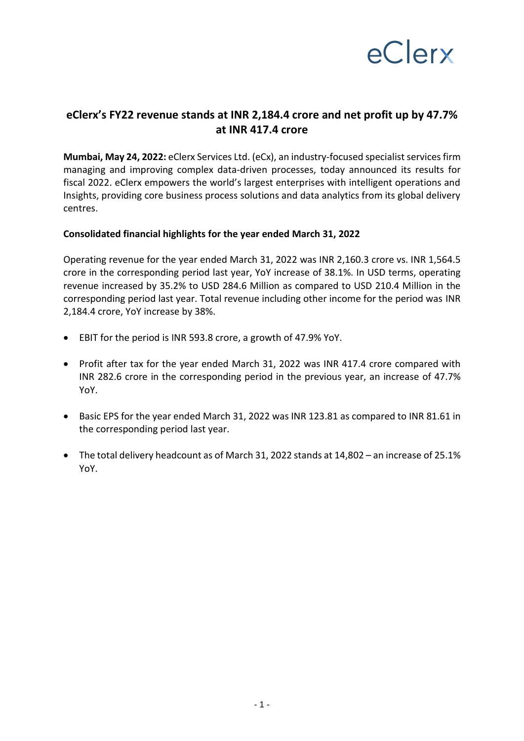

## **eClerx's FY22 revenue stands at INR 2,184.4 crore and net profit up by 47.7% at INR 417.4 crore**

**Mumbai, May 24, 2022:** eClerx Services Ltd. (eCx), an industry-focused specialist services firm managing and improving complex data-driven processes, today announced its results for fiscal 2022. eClerx empowers the world's largest enterprises with intelligent operations and Insights, providing core business process solutions and data analytics from its global delivery centres.

#### **Consolidated financial highlights for the year ended March 31, 2022**

Operating revenue for the year ended March 31, 2022 was INR 2,160.3 crore vs. INR 1,564.5 crore in the corresponding period last year, YoY increase of 38.1%. In USD terms, operating revenue increased by 35.2% to USD 284.6 Million as compared to USD 210.4 Million in the corresponding period last year. Total revenue including other income for the period was INR 2,184.4 crore, YoY increase by 38%.

- EBIT for the period is INR 593.8 crore, a growth of 47.9% YoY.
- Profit after tax for the year ended March 31, 2022 was INR 417.4 crore compared with INR 282.6 crore in the corresponding period in the previous year, an increase of 47.7% YoY.
- Basic EPS for the year ended March 31, 2022 was INR 123.81 as compared to INR 81.61 in the corresponding period last year.
- The total delivery headcount as of March 31, 2022 stands at 14,802 an increase of 25.1% YoY.